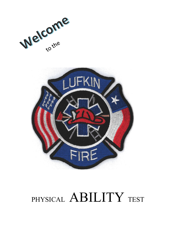



# PHYSICAL ABILITY TEST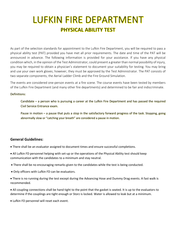# **LUFKIN FIRE DEPARTMENT PHYSICAL ABILITY TEST**

As part of the selection standards for appointment to the Lufkin Fire Department, you will be required to pass a physical ability test (PAT) provided you have met all prior requirements. The date and time of the PAT will be announced in advance. The following information is provided for your assistance. If you have any physical condition which, in the opinion of the Test Administrator, could present a greater than normal possibility of injury, you may be required to obtain a physician's statement to document your suitability for testing. You may bring and use your own work gloves; however, they must be approved by the Test Administrator. The PAT consists of two separate components; the Aerial Ladder Climb and the Fire Ground Simulation.

The events are considered one-person events at a fire scene. The course events have been tested by members of the Lufkin Fire Department (and many other fire departments) and determined to be fair and indiscriminate.

#### Definitions:

Candidate – a person who is pursuing a career at the Lufkin Fire Department and has passed the required Civil Service Entrance exam.

Pause in motion – a pause that puts a stop in the satisfactory forward progress of the task. Stopping, going abnormally slow or "catching your breath" are considered a pause in motion.

#### **General Guidelines:**

- There shall be an evaluator assigned to document times and ensure successful completions.
- All Lufkin FD personnel helping with set-up or the operations of the Physical Ability test should keep communication with the candidates to a minimum and stay neutral.
- There shall be no encouraging remarks given to the candidates while the test is being conducted.
- Only officers with Lufkin FD can be evaluators.
- There is no running during the test except during the Advancing Hose and Dummy Drag events. A fast walk is recommended.
- All coupling connections shall be hand tight to the point that the gasket is seated. It is up to the evaluators to determine if the couplings are tight enough or Storz is locked. Water is allowed to leak but at a minimum.
- Lufkin FD personnel will reset each event.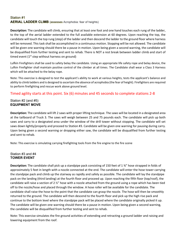## Station #1 **AERIAL LADDER CLIMB** (assesses Acrophobia: fear of heights)

**Description:** The candidate will climb, ensuring that at least one foot and one hand touches each rung of the ladder, to the top of the aerial ladder extended to the full available extension at 60 degrees. Upon reaching the top, the candidate will touch the top rung (step) of the ladder and then descend the ladder to the ground floor where harness will be removed. This task shall be accomplished in a continuous motion. Stopping will be not allowed. The candidate will be given one warning should there be a pause in motion. Upon being given a second warning, the candidate will be disqualified from further testing and sent to rehab. There is NOT a rest break between ladder climb and start of timed event  $(1^{st}$  step without harness on ground)

Lufkin Firefighters shall be used to safety belay the candidate. Using an appropriate life safety rope and belay device, the Lufkin Firefighter shall maintain positive control of the climber at all times. The Candidate shall wear a Class 3 Harness which will be attached to the belay rope.

Note: This exercise is designed to test the applicant's ability to work at various heights, tests the applicant's balance and ability to climb ladders and is designed to ascertain the absence of acrophobia (the fear of height). Firefighters are required to perform firefighting and rescue work above ground level.

## Timed agility starts at this point. Six (6) minutes and 45 seconds to complete stations 2-8

#### Station #2 (and #5) **EQUIPMENT MOVE**

**Description:** The candidate will lift 2 saws with proper lifting technique. The saws will be located in a designated area at the tailboard of Truck 3. The saws will weigh between 25 and 75 pounds each. The candidate will pick up both saws and carry to a designated area under the window of the drill tower without stopping. The candidate will set saws down lightly/properly and proceed to Station #3. Candidate will be given one warning for pausing during carry. Upon being given a second warning or dropping either saw, the candidate will be disqualified from further testing and sent to rehab.

Note: This exercise is simulating carrying firefighting tools from the fire engine to the fire scene

#### Station #3 and #4 **TOWER EVENT**

**Description:** The candidate shall pick up a standpipe pack consisting of 150 feet of 1 ¾" hose strapped in folds of approximately 5 feet in length with a nozzle connected at the end. The candidate will enter the hose tower carrying the standpipe pack and climb up the stairway as rapidly and safely as possible. The candidate will lay the standpipe pack on the landing (third landing) at the fourth floor and proceed up. Upon reaching the fifth floor (top/roof), the candidate will raise a section of 2 ½" hose with a nozzle attached from the ground using a rope which has been tied off to the nozzle/hose and placed through the window. A hose roller will be available for the candidate. The candidate shall raise the hose to the point that the candidate can grasp the nozzle. The hose will then be smoothly returned to the ground. The candidate will then descend to the fourth floor and pick up the high rise pack and continue to the bottom level where the standpipe pack will be placed where the candidate originally picked it up. The candidate will be given one warning should there be a pause in motion. Upon being given a second warning, the candidate will be disqualified from further testing and sent to rehab.

Note: This exercise simulates the fire ground activities of extending and retracting a ground ladder and raising and lowering equipment from the roof.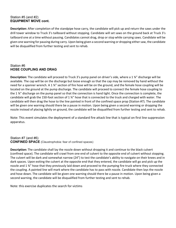#### Station #5 (and #2) **EQUIPMENT MOVE cont.**

**Description:** After completion of the standpipe hose carry, the candidate will pick up and return the saws under the drill tower window to Truck 3's tailboard without stopping. Candidate will set saws on the ground back at Truck 3's tailboard one at a time without pausing. Candidates cannot drag, drop or stop while carrying saws. Candidate will be given one warning for pausing during carry. Upon being given a second warning or dropping either saw, the candidate will be disqualified from further testing and sent to rehab.

#### Station #6 **HOSE COUPLING AND DRAG**

**Description:** The candidate will proceed to Truck 3's pump panel on driver's side, where a 1 ¾" discharge will be available. The cap will be on the discharge but loose enough so that the cap may be removed by hand without the need for a spanner wrench. A 1 34" section of fire hose will be on the ground, and the female hose coupling will be located on the ground at the pump discharge. The candidate will proceed to connect the female hose coupling to the 1 ¾" discharge on the pump panel so that the connection is hand tight. Once the connection is complete, the candidate will grab the 150-foot section of 1 ¾" hose that is connected to the truck and charged with water. The candidate will then drag the hose to the line painted in front of the confined space prop (Station #7). The candidate will be given one warning should there be a pause in motion. Upon being given a second warning or dropping the nozzle instead of placing lightly on ground, the candidate will be disqualified from further testing and sent to rehab.

Note: This event simulates the deployment of a standard fire attack line that is typical on first line suppression apparatus.

#### Station #7 (and #6) **CONFINED SPACE** (Claustrophobia: fear of confined spaces)

**Description:** The candidate shall lay the nozzle down without dropping it and continue to the black culvert (confined space). The candidate will crawl from one end of culvert to the opposite end of culvert without stopping. The culvert will be dark and somewhat narrow (24") to test the candidate's ability to navigate on their knees and in dark spaces. Upon exiting the culvert at the opposite end that they entered, the candidate will go and pick up the nozzle and 1 ¾" hose that they previously laid down and proceed to the pumping fire truck where they connected the coupling. A painted line will mark where the candidate has to pass with nozzle. Candidate then lays the nozzle and hose down. The candidate will be given one warning should there be a pause in motion. Upon being given a second warning, the candidate will be disqualified from further testing and sent to rehab.

Note: this exercise duplicates the search for victims